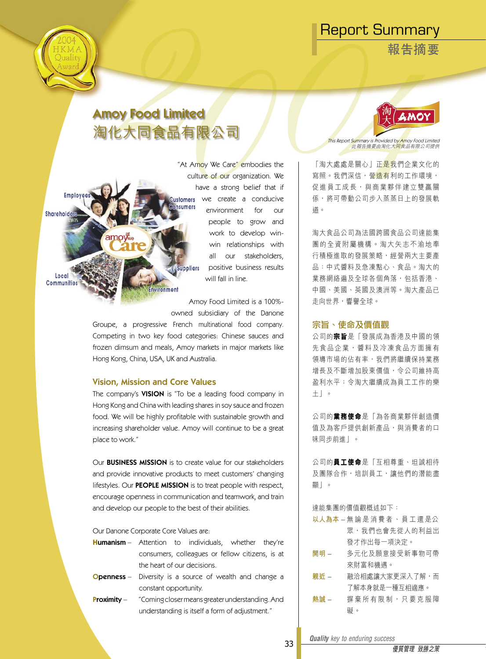**報告摘要**

**Employ** 

Shareholder

Local Communitie

# Amoy Food Limited 淘化大同食品有限公司

"At Amoy We Care" embodies the culture of our organization. We have a strong belief that if we create a conducive ustomers sumers environment for our people to grow and work to develop winwin relationships with all our stakeholders, **Suppliers** positive business results will fall in line.

Amoy Food Limited is a 100% owned subsidiary of the Danone

Groupe, a progressive French multinational food company. Competing in two key food categories: Chinese sauces and frozen dimsum and meals, Amoy markets in major markets like Hong Kong, China, USA, UK and Australia.

# Vision, Mission and Core Values

**ivironment** 

The company's **VISION** is "To be a leading food company in Hong Kong and China with leading shares in soy sauce and frozen food. We will be highly profitable with sustainable growth and increasing shareholder value. Amoy will continue to be a great place to work."

Our BUSINESS MISSION is to create value for our stakeholders and provide innovative products to meet customers' changing lifestyles. Our **PEOPLE MISSION** is to treat people with respect, encourage openness in communication and teamwork, and train and develop our people to the best of their abilities.

Our Danone Corporate Core Values are:

- **H**umanism Attention to individuals, whether they're consumers, colleagues or fellow citizens, is at the heart of our decisions.
- **Openness** Diversity is a source of wealth and change a constant opportunity.
- Proximity "Coming closer means greater understanding. And understanding is itself a form of adjustment."



This Report Summary is Provided by Amoy Food Limited<br>此報告摘要由淘化大同食品有限公司提供

「淘大處處是關心」正是我們企業文化的 寫照。我們深信, 營<mark>浩有</mark>利的工作環境, 促進員工成長,與商業夥伴建立雙贏關 係,將可帶動公司步入蒸蒸日上的發展軌 道。

淘大食品公司為法國跨國食品公司達能集 團 的 全 資 附 屬 機 構 。 淘 大 矢 志 不 渝 地 奉 行積極進取的發展策略,經營兩大主要產 品:中式醬料及急凍點心、食品。淘大的 業務網絡遍及全球各個角落,包括香港、 中國、美國、英國及澳洲等。淘大產品已 走向世界,響譽全球。

# 宗旨、使命及價值觀

公司的**宗旨**是「發展成為香港及中國的領 先食品企業, 醬料及冷凍食品方面擁有 領導市場的佔有率,我們將繼續保持業務 增長及不斷增加股東價值,令公司維持高 盈利水平;令淘大繼續成為員工工作的樂 土」。

公司的**業務使命**是「為各商業夥伴創造價 值及為客戶提供創新產品,與消費者的口 味同步前進」。

公司的**員工使命**是「互相尊重、坦誠相待 及團隊合作,培訓員工,讓他們的潛能盡 顯」。

達能集團的價值觀概述如下:

- **以人為本**  無 論 是 消 費 者 、 員 工 還 是公 眾,我們也會先從人的利益出 發才作出每一項決定。
- **開明**  多元化及願意接受新事物可帶 來財富和機遇。
- **親近**  融洽相處讓大家更深入了解,而 了解本身就是一種互相適應。
- 熱誠 摒棄所有限制, 只要克服障 礙。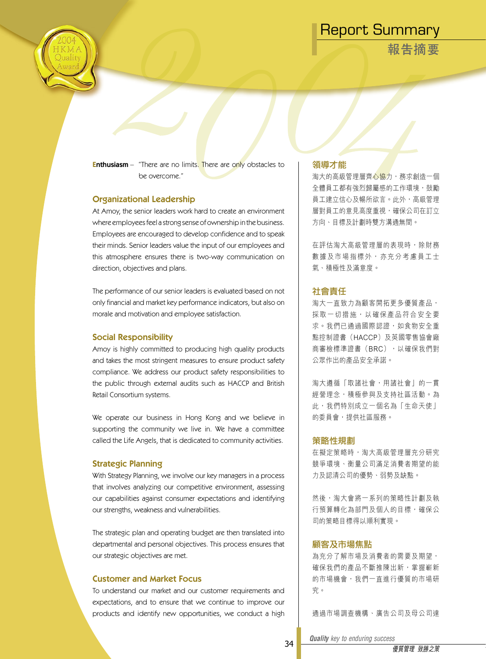**報告摘要**



**Enthusiasm** – "There are no limits. There are only obstacles to be overcome."

# Organizational Leadership

At Amoy, the senior leaders work hard to create an environment where employees feel a strong sense of ownership in the business. Employees are encouraged to develop confidence and to speak their minds. Senior leaders value the input of our employees and this atmosphere ensures there is two-way communication on direction, objectives and plans.

The performance of our senior leaders is evaluated based on not only financial and market key performance indicators, but also on morale and motivation and employee satisfaction.

# Social Responsibility

Amoy is highly committed to producing high quality products and takes the most stringent measures to ensure product safety compliance. We address our product safety responsibilities to the public through external audits such as HACCP and British Retail Consortium systems.

We operate our business in Hong Kong and we believe in supporting the community we live in. We have a committee called the Life Angels, that is dedicated to community activities.

# Strategic Planning

With Strategy Planning, we involve our key managers in a process that involves analyzing our competitive environment, assessing our capabilities against consumer expectations and identifying our strengths, weakness and vulnerabilities.

The strategic plan and operating budget are then translated into departmental and personal objectives. This process ensures that our strategic objectives are met.

# Customer and Market Focus

To understand our market and our customer requirements and expectations, and to ensure that we continue to improve our products and identify new opportunities, we conduct a high

#### 領導才能

淘大的高級管理層齊心協力,務求創造一個 全體員工都有強烈歸屬感的工作環境,鼓勵 員工建立信心及暢所欲言。此外,高級管理 層對員工的意見高度重視,確保公司在訂立 方向、目標及計劃時雙方溝通無間。

在評估淘大高級管理層的表現時,除財務 數 據 及 市 場 指 標 外 , 亦 充 分 考 慮 員 工 士 氣、積極性及滿意度。

# 社會責任

淘大一直致力為顧客開拓更多優質產品, 採取一切措施,以確保產品符合安全要 求。我們已通過國際認證,如食物安全重 點控制證書(HACCP)及英國零售協會廠 商審檢標準證書(BRC),以確保我們對 公眾作出的產品安全承諾。

淘大遵循「取諸社會,用諸社會」的一貫 經營理念,積極參與及支持社區活動。為 此,我們特別成立一個名為「生命天使」 的委員會,提供社區服務。

### 策略性規劃

在擬定策略時,淘大高級管理層充分研究 競爭環境、衡量公司滿足消費者期望的能 力及認清公司的優勢、弱勢及缺點。

然後,淘大會將一系列的策略性計劃及執 行預算轉化為部門及個人的目標,確保公 司的策略目標得以順利實現。

# 顧客及市場焦點

為充分了解市場及消費者的需要及期望, 確保我們的產品不斷推陳出新,掌握嶄新 的市場機會,我們一直進行優質的市場研 究。

通過市場調查機構、廣告公司及母公司達

*Quality key to enduring success Quality key to enduring success*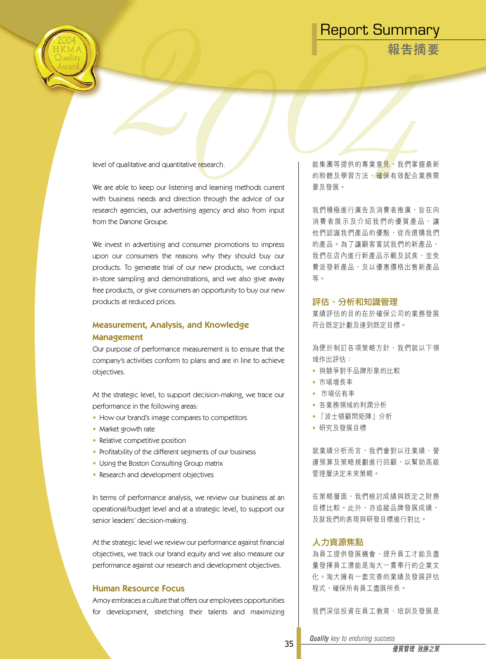**報告摘要**



level of qualitative and quantitative research.

We are able to keep our listening and learning methods current with business needs and direction through the advice of our research agencies, our advertising agency and also from input from the Danone Groupe.

We invest in advertising and consumer promotions to impress upon our consumers the reasons why they should buy our products. To generate trial of our new products, we conduct in-store sampling and demonstrations, and we also give away free products, or give consumers an opportunity to buy our new products at reduced prices.

# Measurement, Analysis, and Knowledge Management

Our purpose of performance measurement is to ensure that the company's activities conform to plans and are in line to achieve objectives.

At the strategic level, to support decision-making, we trace our performance in the following areas:

- How our brand's image compares to competitors
- Market growth rate
- Relative competitive position
- Profitability of the different segments of our business
- Using the Boston Consulting Group matrix
- Research and development objectives

In terms of performance analysis, we review our business at an operational/budget level and at a strategic level, to support our senior leaders' decision-making.

At the strategic level we review our performance against financial objectives, we track our brand equity and we also measure our performance against our research and development objectives.

# Human Resource Focus

Amoy embraces a culture that offers our employees opportunities for development, stretching their talents and maximizing

能集團等提供的專業意見,我們掌握最新 的聆聽及學習方法,確保有效配合業務需 要及發展。

我們積極進行廣告及消費者推廣,旨在向 消 費 者 展 示 及 介 紹 我 們 的 優 質 產 品 , 讓 他們認識我們產品的優點,從而選購我們 的產品。為了讓顧客嘗試我們的新產品, 我們在店內進行新產品示範及試食,並免 費派發新產品,及以優惠價格出售新產品 等。

# 評估、分析和知識管理

業績評估的目的在於確保公司的業務發展 符合既定計劃及達到既定目標。

為便於制訂各項策略方針,我們就以下領 域作出評估:

- 與競爭對手品牌形象的比較
- 市場增長率
- 市場佔有率
- 各業務領域的利潤分析
- 「波士頓顧問矩陣」分析
- 研究及發展目標

就業績分析而言,我們會對以往業績、營 運預算及策略規劃進行回顧,以幫助高級 管理層決定未來策略。

在策略層面,我們檢討成績與既定之財務 目標比較。此外,亦追蹤品牌發展成績, 及就我們的表現與研發目標進行對比。

# 人力資源焦點

為員工提供發展機會、提升員工才能及盡 量發揮員工潛能是淘大一貫奉行的企業文 化。淘大擁有一套完善的業績及發展評估 程式,確保所有員工盡展所長。

我們深信投資在員工教育、培訓及發展是

*Quality key to enduring success Quality key to enduring success*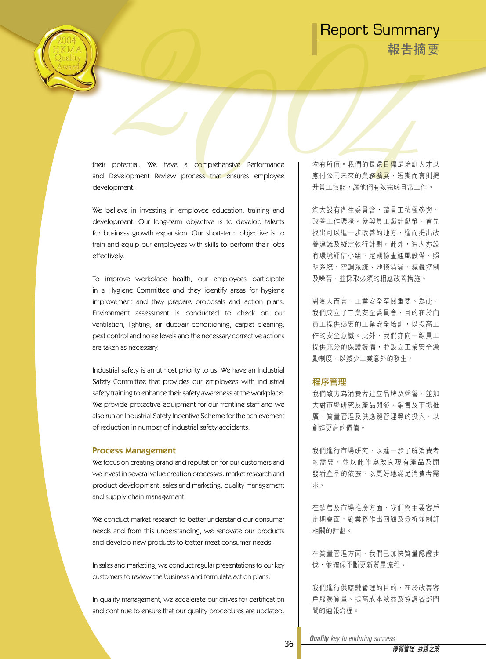**報告摘要**



their potential. We have a comprehensive Performance and Development Review process that ensures employee development.

We believe in investing in employee education, training and development. Our long-term objective is to develop talents for business growth expansion. Our short-term objective is to train and equip our employees with skills to perform their jobs effectively.

To improve workplace health, our employees participate in a Hygiene Committee and they identify areas for hygiene improvement and they prepare proposals and action plans. Environment assessment is conducted to check on our ventilation, lighting, air duct/air conditioning, carpet cleaning, pest control and noise levels and the necessary corrective actions are taken as necessary.

Industrial safety is an utmost priority to us. We have an Industrial Safety Committee that provides our employees with industrial safety training to enhance their safety awareness at the workplace. We provide protective equipment for our frontline staff and we also run an Industrial Safety Incentive Scheme for the achievement of reduction in number of industrial safety accidents.

### Process Management

We focus on creating brand and reputation for our customers and we invest in several value creation processes: market research and product development, sales and marketing, quality management and supply chain management.

We conduct market research to better understand our consumer needs and from this understanding, we renovate our products and develop new products to better meet consumer needs.

In sales and marketing, we conduct regular presentations to our key customers to review the business and formulate action plans.

In quality management, we accelerate our drives for certification and continue to ensure that our quality procedures are updated.

物有所值。我們的長遠日標是培訓人才以 應付公司未來的業務<mark>擴展</mark>,短期而言則提 升員工技能,讓他們有效完成日常工作。

淘大設有衛生委員會,讓員工積極參與, 改善工作環境。參與員工獻計獻策,首先 找出可以進一步改善的地方,進而提出改 善建議及擬定執行計劃。此外,淘大亦設 有環境評估小組,定期檢查通風設備、照 明系統、空調系統、地毯清潔、滅蟲控制 及噪音,並採取必須的相應改善措施。

對淘大而言,工業安全至關重要。為此, 我們成立了工業安全委員會,目的在於向 員工提供必要的工業安全培訓,以提高工 作的安全意識。此外,我們亦向一線員工 提供充分的保護裝備,並設立工業安全激 勵制度,以減少工業意外的發生。

#### 程序管理

我們致力為消費者建立品牌及聲譽,並加 大對市場研究及產品開發、銷售及市場推 廣、質量管理及供應鏈管理等的投入,以 創造更高的價值。

我們進行市場研究,以進一步了解消費者 的 需 要 , 並 以 此 作 為 改 良 現 有 產 品 及 開 發新產品的依據,以更好地滿足消費者需 求。

在銷售及市場推廣方面,我們與主要客戶 定期會面,對業務作出回顧及分析並制訂 相關的計劃。

在質量管理方面,我們已加快質量認證步 伐,並確保不斷更新質量流程。

我們進行供應鏈管理的目的,在於改善客 戶服務質量、提高成本效益及協調各部門 間的通報流程。

*Quality key to enduring success Quality key to enduring success*